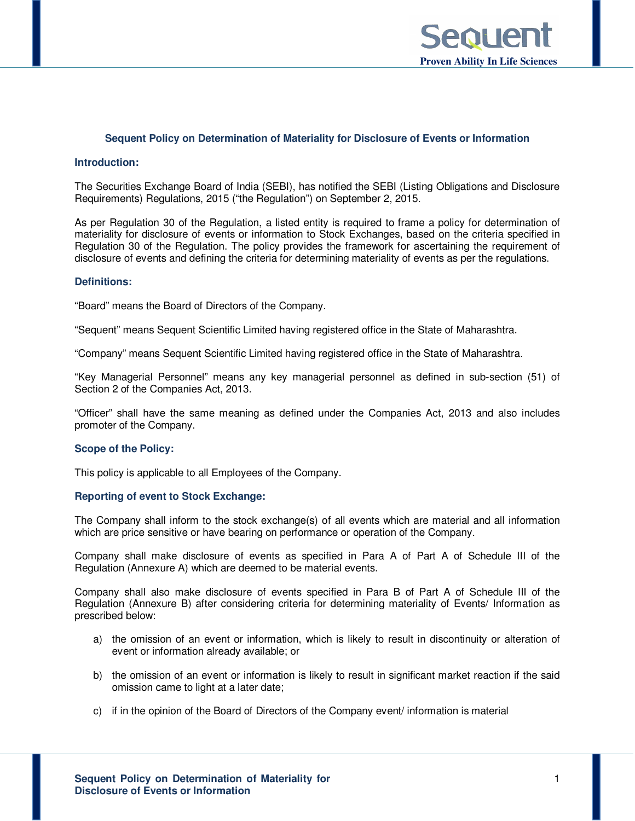

#### **Sequent Policy on Determination of Materiality for Disclosure of Events or Information**

### **Introduction:**

The Securities Exchange Board of India (SEBI), has notified the SEBI (Listing Obligations and Disclosure Requirements) Regulations, 2015 ("the Regulation") on September 2, 2015.

As per Regulation 30 of the Regulation, a listed entity is required to frame a policy for determination of materiality for disclosure of events or information to Stock Exchanges, based on the criteria specified in Regulation 30 of the Regulation. The policy provides the framework for ascertaining the requirement of disclosure of events and defining the criteria for determining materiality of events as per the regulations.

### **Definitions:**

"Board" means the Board of Directors of the Company.

"Sequent" means Sequent Scientific Limited having registered office in the State of Maharashtra.

"Company" means Sequent Scientific Limited having registered office in the State of Maharashtra.

"Key Managerial Personnel" means any key managerial personnel as defined in sub-section (51) of Section 2 of the Companies Act, 2013.

"Officer" shall have the same meaning as defined under the Companies Act, 2013 and also includes promoter of the Company.

#### **Scope of the Policy:**

This policy is applicable to all Employees of the Company.

### **Reporting of event to Stock Exchange:**

The Company shall inform to the stock exchange(s) of all events which are material and all information which are price sensitive or have bearing on performance or operation of the Company.

Company shall make disclosure of events as specified in Para A of Part A of Schedule III of the Regulation (Annexure A) which are deemed to be material events.

Company shall also make disclosure of events specified in Para B of Part A of Schedule III of the Regulation (Annexure B) after considering criteria for determining materiality of Events/ Information as prescribed below:

- a) the omission of an event or information, which is likely to result in discontinuity or alteration of event or information already available; or
- b) the omission of an event or information is likely to result in significant market reaction if the said omission came to light at a later date;
- c) if in the opinion of the Board of Directors of the Company event/ information is material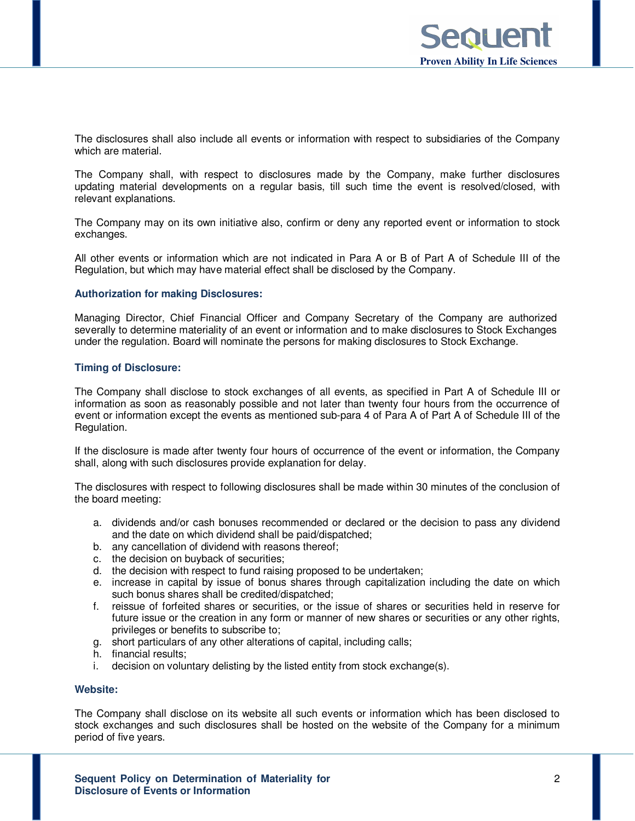The disclosures shall also include all events or information with respect to subsidiaries of the Company which are material.

The Company shall, with respect to disclosures made by the Company, make further disclosures updating material developments on a regular basis, till such time the event is resolved/closed, with relevant explanations.

The Company may on its own initiative also, confirm or deny any reported event or information to stock exchanges.

All other events or information which are not indicated in Para A or B of Part A of Schedule III of the Regulation, but which may have material effect shall be disclosed by the Company.

# **Authorization for making Disclosures:**

Managing Director, Chief Financial Officer and Company Secretary of the Company are authorized severally to determine materiality of an event or information and to make disclosures to Stock Exchanges under the regulation. Board will nominate the persons for making disclosures to Stock Exchange.

### **Timing of Disclosure:**

The Company shall disclose to stock exchanges of all events, as specified in Part A of Schedule III or information as soon as reasonably possible and not later than twenty four hours from the occurrence of event or information except the events as mentioned sub-para 4 of Para A of Part A of Schedule III of the Regulation.

If the disclosure is made after twenty four hours of occurrence of the event or information, the Company shall, along with such disclosures provide explanation for delay.

The disclosures with respect to following disclosures shall be made within 30 minutes of the conclusion of the board meeting:

- a. dividends and/or cash bonuses recommended or declared or the decision to pass any dividend and the date on which dividend shall be paid/dispatched;
- b. any cancellation of dividend with reasons thereof;
- c. the decision on buyback of securities;
- d. the decision with respect to fund raising proposed to be undertaken;
- e. increase in capital by issue of bonus shares through capitalization including the date on which such bonus shares shall be credited/dispatched;
- f. reissue of forfeited shares or securities, or the issue of shares or securities held in reserve for future issue or the creation in any form or manner of new shares or securities or any other rights, privileges or benefits to subscribe to;
- g. short particulars of any other alterations of capital, including calls;
- h. financial results;
- i. decision on voluntary delisting by the listed entity from stock exchange(s).

### **Website:**

The Company shall disclose on its website all such events or information which has been disclosed to stock exchanges and such disclosures shall be hosted on the website of the Company for a minimum period of five years.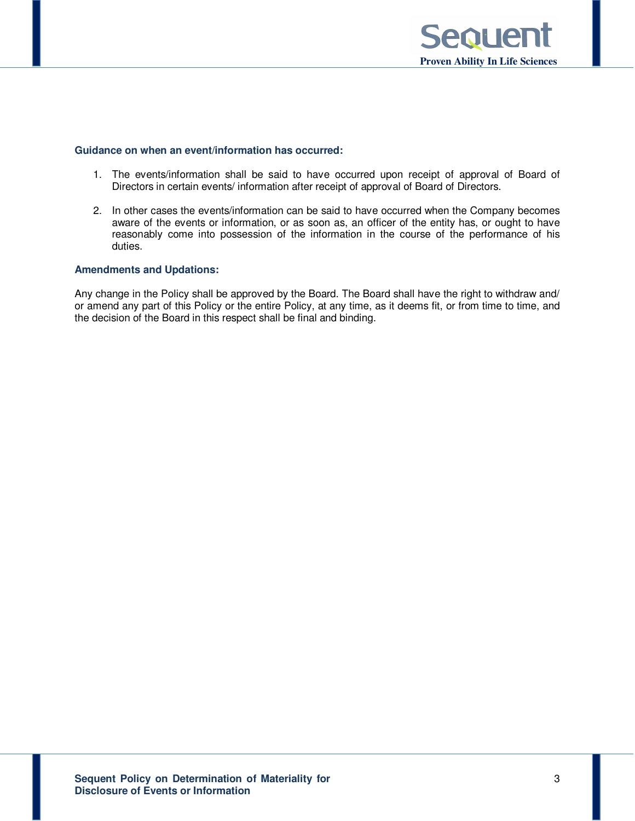

### **Guidance on when an event/information has occurred:**

- 1. The events/information shall be said to have occurred upon receipt of approval of Board of Directors in certain events/ information after receipt of approval of Board of Directors.
- 2. In other cases the events/information can be said to have occurred when the Company becomes aware of the events or information, or as soon as, an officer of the entity has, or ought to have reasonably come into possession of the information in the course of the performance of his duties.

# **Amendments and Updations:**

Any change in the Policy shall be approved by the Board. The Board shall have the right to withdraw and/ or amend any part of this Policy or the entire Policy, at any time, as it deems fit, or from time to time, and the decision of the Board in this respect shall be final and binding.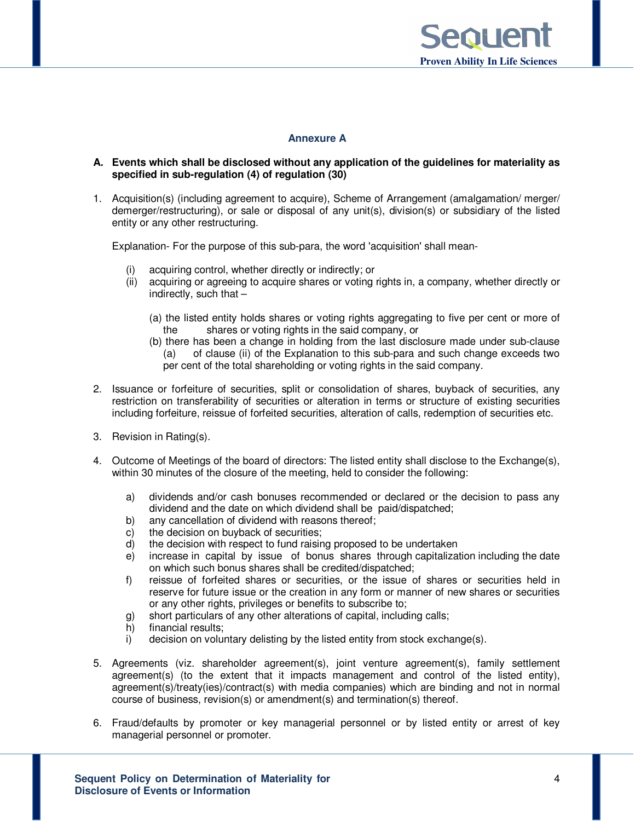

# **Annexure A**

# **A. Events which shall be disclosed without any application of the guidelines for materiality as specified in sub-regulation (4) of regulation (30)**

1. Acquisition(s) (including agreement to acquire), Scheme of Arrangement (amalgamation/ merger/ demerger/restructuring), or sale or disposal of any unit(s), division(s) or subsidiary of the listed entity or any other restructuring.

Explanation- For the purpose of this sub-para, the word 'acquisition' shall mean-

- (i) acquiring control, whether directly or indirectly; or
- (ii) acquiring or agreeing to acquire shares or voting rights in, a company, whether directly or indirectly, such that  $-$ 
	- (a) the listed entity holds shares or voting rights aggregating to five per cent or more of the shares or voting rights in the said company, or
	- (b) there has been a change in holding from the last disclosure made under sub-clause (a) of clause (ii) of the Explanation to this sub-para and such change exceeds two per cent of the total shareholding or voting rights in the said company.
- 2. Issuance or forfeiture of securities, split or consolidation of shares, buyback of securities, any restriction on transferability of securities or alteration in terms or structure of existing securities including forfeiture, reissue of forfeited securities, alteration of calls, redemption of securities etc.
- 3. Revision in Rating(s).
- 4. Outcome of Meetings of the board of directors: The listed entity shall disclose to the Exchange(s), within 30 minutes of the closure of the meeting, held to consider the following:
	- a) dividends and/or cash bonuses recommended or declared or the decision to pass any dividend and the date on which dividend shall be paid/dispatched;
	- b) any cancellation of dividend with reasons thereof;
	- c) the decision on buyback of securities;
	- d) the decision with respect to fund raising proposed to be undertaken
	- e) increase in capital by issue of bonus shares through capitalization including the date on which such bonus shares shall be credited/dispatched;
	- f) reissue of forfeited shares or securities, or the issue of shares or securities held in reserve for future issue or the creation in any form or manner of new shares or securities or any other rights, privileges or benefits to subscribe to;
	- g) short particulars of any other alterations of capital, including calls;
	- h) financial results;<br>i) decision on volur
	- decision on voluntary delisting by the listed entity from stock exchange(s).
- 5. Agreements (viz. shareholder agreement(s), joint venture agreement(s), family settlement agreement(s) (to the extent that it impacts management and control of the listed entity), agreement(s)/treaty(ies)/contract(s) with media companies) which are binding and not in normal course of business, revision(s) or amendment(s) and termination(s) thereof.
- 6. Fraud/defaults by promoter or key managerial personnel or by listed entity or arrest of key managerial personnel or promoter.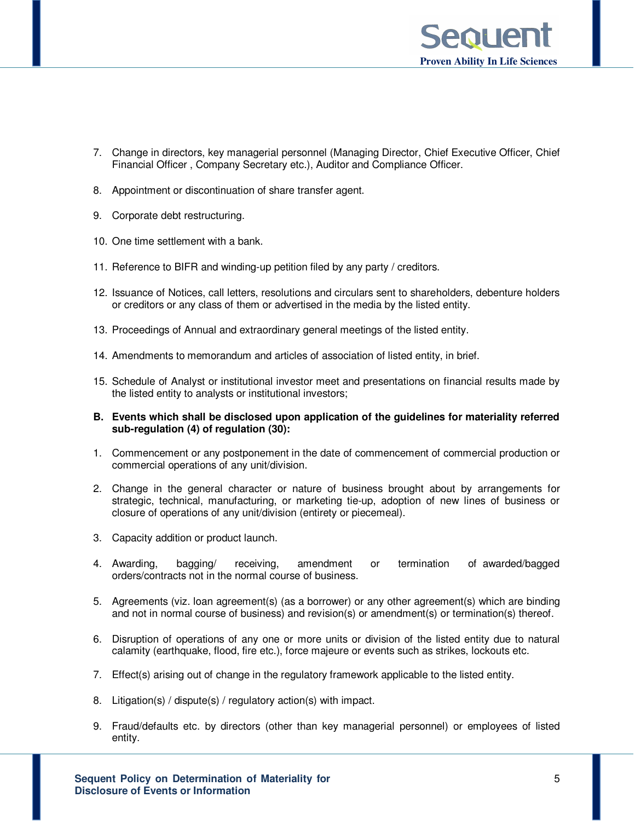

- 7. Change in directors, key managerial personnel (Managing Director, Chief Executive Officer, Chief Financial Officer , Company Secretary etc.), Auditor and Compliance Officer.
- 8. Appointment or discontinuation of share transfer agent.
- 9. Corporate debt restructuring.
- 10. One time settlement with a bank.
- 11. Reference to BIFR and winding-up petition filed by any party / creditors.
- 12. Issuance of Notices, call letters, resolutions and circulars sent to shareholders, debenture holders or creditors or any class of them or advertised in the media by the listed entity.
- 13. Proceedings of Annual and extraordinary general meetings of the listed entity.
- 14. Amendments to memorandum and articles of association of listed entity, in brief.
- 15. Schedule of Analyst or institutional investor meet and presentations on financial results made by the listed entity to analysts or institutional investors;
- **B. Events which shall be disclosed upon application of the guidelines for materiality referred sub-regulation (4) of regulation (30):**
- 1. Commencement or any postponement in the date of commencement of commercial production or commercial operations of any unit/division.
- 2. Change in the general character or nature of business brought about by arrangements for strategic, technical, manufacturing, or marketing tie-up, adoption of new lines of business or closure of operations of any unit/division (entirety or piecemeal).
- 3. Capacity addition or product launch.
- 4. Awarding, bagging/ receiving, amendment or termination of awarded/bagged orders/contracts not in the normal course of business.
- 5. Agreements (viz. loan agreement(s) (as a borrower) or any other agreement(s) which are binding and not in normal course of business) and revision(s) or amendment(s) or termination(s) thereof.
- 6. Disruption of operations of any one or more units or division of the listed entity due to natural calamity (earthquake, flood, fire etc.), force majeure or events such as strikes, lockouts etc.
- 7. Effect(s) arising out of change in the regulatory framework applicable to the listed entity.
- 8. Litigation(s) / dispute(s) / regulatory action(s) with impact.
- 9. Fraud/defaults etc. by directors (other than key managerial personnel) or employees of listed entity.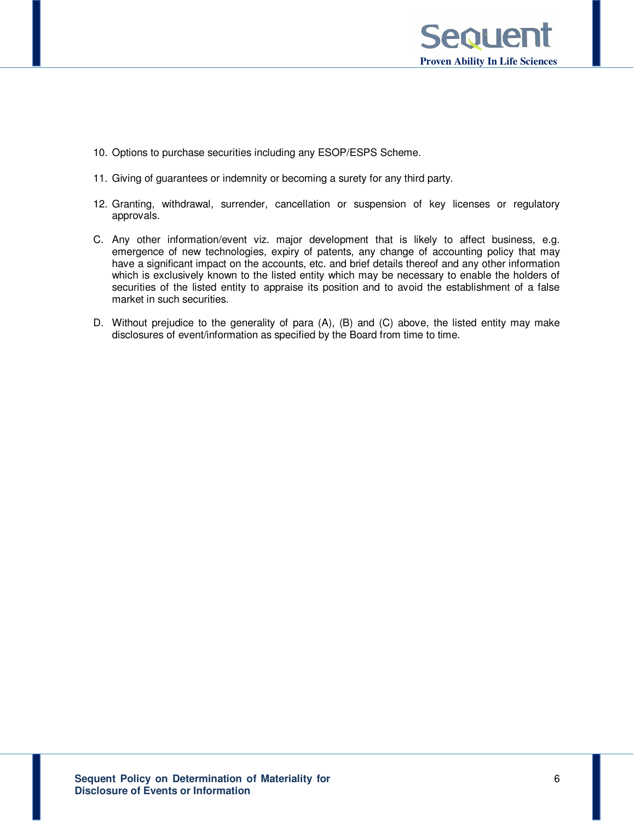

- 10. Options to purchase securities including any ESOP/ESPS Scheme.
- 11. Giving of guarantees or indemnity or becoming a surety for any third party.
- 12. Granting, withdrawal, surrender, cancellation or suspension of key licenses or regulatory approvals.
- C. Any other information/event viz. major development that is likely to affect business, e.g. emergence of new technologies, expiry of patents, any change of accounting policy that may have a significant impact on the accounts, etc. and brief details thereof and any other information which is exclusively known to the listed entity which may be necessary to enable the holders of securities of the listed entity to appraise its position and to avoid the establishment of a false market in such securities.
- D. Without prejudice to the generality of para (A), (B) and (C) above, the listed entity may make disclosures of event/information as specified by the Board from time to time.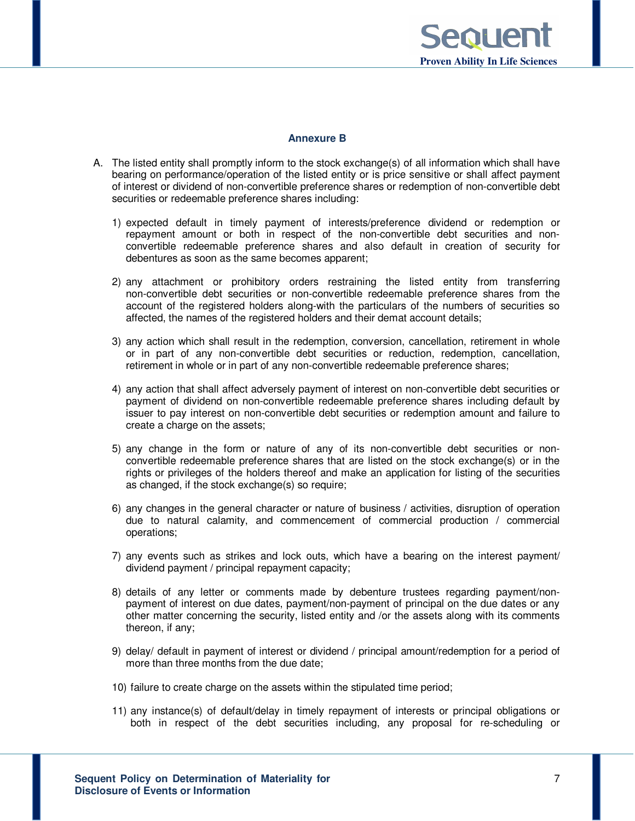

# **Annexure B**

- A. The listed entity shall promptly inform to the stock exchange(s) of all information which shall have bearing on performance/operation of the listed entity or is price sensitive or shall affect payment of interest or dividend of non-convertible preference shares or redemption of non-convertible debt securities or redeemable preference shares including:
	- 1) expected default in timely payment of interests/preference dividend or redemption or repayment amount or both in respect of the non-convertible debt securities and nonconvertible redeemable preference shares and also default in creation of security for debentures as soon as the same becomes apparent;
	- 2) any attachment or prohibitory orders restraining the listed entity from transferring non-convertible debt securities or non-convertible redeemable preference shares from the account of the registered holders along-with the particulars of the numbers of securities so affected, the names of the registered holders and their demat account details;
	- 3) any action which shall result in the redemption, conversion, cancellation, retirement in whole or in part of any non-convertible debt securities or reduction, redemption, cancellation, retirement in whole or in part of any non-convertible redeemable preference shares;
	- 4) any action that shall affect adversely payment of interest on non-convertible debt securities or payment of dividend on non-convertible redeemable preference shares including default by issuer to pay interest on non-convertible debt securities or redemption amount and failure to create a charge on the assets;
	- 5) any change in the form or nature of any of its non-convertible debt securities or nonconvertible redeemable preference shares that are listed on the stock exchange(s) or in the rights or privileges of the holders thereof and make an application for listing of the securities as changed, if the stock exchange(s) so require;
	- 6) any changes in the general character or nature of business / activities, disruption of operation due to natural calamity, and commencement of commercial production / commercial operations;
	- 7) any events such as strikes and lock outs, which have a bearing on the interest payment/ dividend payment / principal repayment capacity;
	- 8) details of any letter or comments made by debenture trustees regarding payment/nonpayment of interest on due dates, payment/non-payment of principal on the due dates or any other matter concerning the security, listed entity and /or the assets along with its comments thereon, if any;
	- 9) delay/ default in payment of interest or dividend / principal amount/redemption for a period of more than three months from the due date;
	- 10) failure to create charge on the assets within the stipulated time period;
	- 11) any instance(s) of default/delay in timely repayment of interests or principal obligations or both in respect of the debt securities including, any proposal for re-scheduling or